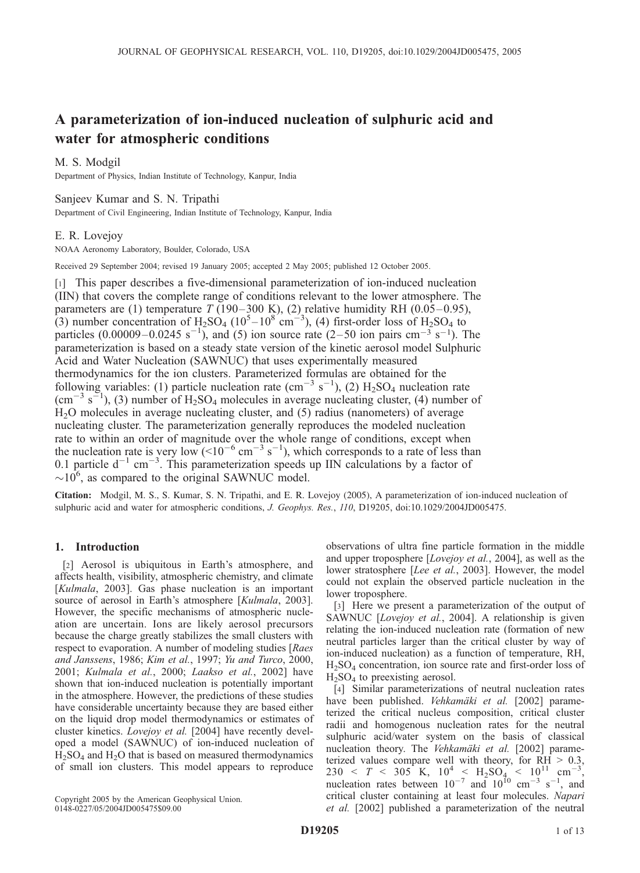# A parameterization of ion-induced nucleation of sulphuric acid and water for atmospheric conditions

# M. S. Modgil

Department of Physics, Indian Institute of Technology, Kanpur, India

## Sanjeev Kumar and S. N. Tripathi

Department of Civil Engineering, Indian Institute of Technology, Kanpur, India

## E. R. Lovejoy

NOAA Aeronomy Laboratory, Boulder, Colorado, USA

Received 29 September 2004; revised 19 January 2005; accepted 2 May 2005; published 12 October 2005.

[1] This paper describes a five-dimensional parameterization of ion-induced nucleation (IIN) that covers the complete range of conditions relevant to the lower atmosphere. The parameters are (1) temperature  $T$  (190–300 K), (2) relative humidity RH (0.05–0.95), (3) number concentration of  $H_2SO_4$  (10<sup>5</sup>-10<sup>8</sup> cm<sup>-3</sup>), (4) first-order loss of  $H_2SO_4$  to particles  $(0.00009 - 0.0245 \text{ s}^{-1})$ , and (5) ion source rate  $(2-50 \text{ ion pairs cm}^{-3} \text{ s}^{-1})$ . The parameterization is based on a steady state version of the kinetic aerosol model Sulphuric Acid and Water Nucleation (SAWNUC) that uses experimentally measured thermodynamics for the ion clusters. Parameterized formulas are obtained for the following variables: (1) particle nucleation rate (cm<sup>-3</sup> s<sup>-1</sup>), (2)  $H_2SO_4$  nucleation rate  $\text{ (cm}^{-3} \text{ s}^{-1})$ , (3) number of H<sub>2</sub>SO<sub>4</sub> molecules in average nucleating cluster, (4) number of H2O molecules in average nucleating cluster, and (5) radius (nanometers) of average nucleating cluster. The parameterization generally reproduces the modeled nucleation rate to within an order of magnitude over the whole range of conditions, except when the nucleation rate is very low (<10<sup>-6</sup> cm<sup>-3</sup> s<sup>-1</sup>), which corresponds to a rate of less than 0.1 particle  $d^{-1}$  cm<sup>-3</sup>. This parameterization speeds up IIN calculations by a factor of  $\sim$ 10<sup>6</sup>, as compared to the original SAWNUC model.

Citation: Modgil, M. S., S. Kumar, S. N. Tripathi, and E. R. Lovejoy (2005), A parameterization of ion-induced nucleation of sulphuric acid and water for atmospheric conditions, J. Geophys. Res., 110, D19205, doi:10.1029/2004JD005475.

# 1. Introduction

[2] Aerosol is ubiquitous in Earth's atmosphere, and affects health, visibility, atmospheric chemistry, and climate [Kulmala, 2003]. Gas phase nucleation is an important source of aerosol in Earth's atmosphere [Kulmala, 2003]. However, the specific mechanisms of atmospheric nucleation are uncertain. Ions are likely aerosol precursors because the charge greatly stabilizes the small clusters with respect to evaporation. A number of modeling studies [Raes] and Janssens, 1986; Kim et al., 1997; Yu and Turco, 2000, 2001; Kulmala et al., 2000; Laakso et al., 2002] have shown that ion-induced nucleation is potentially important in the atmosphere. However, the predictions of these studies have considerable uncertainty because they are based either on the liquid drop model thermodynamics or estimates of cluster kinetics. Lovejoy et al. [2004] have recently developed a model (SAWNUC) of ion-induced nucleation of  $H<sub>2</sub>SO<sub>4</sub>$  and  $H<sub>2</sub>O$  that is based on measured thermodynamics of small ion clusters. This model appears to reproduce observations of ultra fine particle formation in the middle and upper troposphere [Lovejoy et al., 2004], as well as the lower stratosphere [Lee et al., 2003]. However, the model could not explain the observed particle nucleation in the lower troposphere.

[3] Here we present a parameterization of the output of SAWNUC [Lovejoy et al., 2004]. A relationship is given relating the ion-induced nucleation rate (formation of new neutral particles larger than the critical cluster by way of ion-induced nucleation) as a function of temperature, RH,  $H<sub>2</sub>SO<sub>4</sub>$  concentration, ion source rate and first-order loss of  $H<sub>2</sub>SO<sub>4</sub>$  to preexisting aerosol.

[4] Similar parameterizations of neutral nucleation rates have been published. *Vehkamäki et al.* [2002] parameterized the critical nucleus composition, critical cluster radii and homogenous nucleation rates for the neutral sulphuric acid/water system on the basis of classical nucleation theory. The Vehkamäki et al. [2002] parameterized values compare well with theory, for RH > 0.3, 230 < T < 305 K,  $10^4$  <  $H_2SO_4$  <  $10^{11}$  cm<sup>-3</sup>, nucleation rates between  $10^{-7}$  and  $10^{10}$  cm<sup>-3</sup> s<sup>-1</sup>, and critical cluster containing at least four molecules. Napari et al. [2002] published a parameterization of the neutral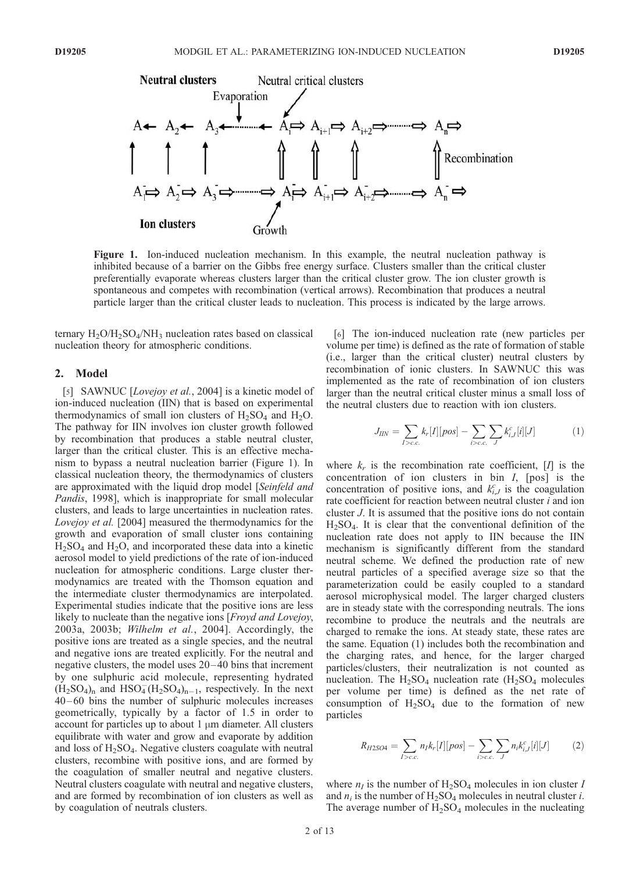

Figure 1. Ion-induced nucleation mechanism. In this example, the neutral nucleation pathway is inhibited because of a barrier on the Gibbs free energy surface. Clusters smaller than the critical cluster preferentially evaporate whereas clusters larger than the critical cluster grow. The ion cluster growth is spontaneous and competes with recombination (vertical arrows). Recombination that produces a neutral particle larger than the critical cluster leads to nucleation. This process is indicated by the large arrows.

ternary  $H_2O/H_2SO_4/NH_3$  nucleation rates based on classical nucleation theory for atmospheric conditions.

## 2. Model

[5] SAWNUC [Lovejoy et al., 2004] is a kinetic model of ion-induced nucleation (IIN) that is based on experimental thermodynamics of small ion clusters of  $H_2SO_4$  and  $H_2O$ . The pathway for IIN involves ion cluster growth followed by recombination that produces a stable neutral cluster, larger than the critical cluster. This is an effective mechanism to bypass a neutral nucleation barrier (Figure 1). In classical nucleation theory, the thermodynamics of clusters are approximated with the liquid drop model [Seinfeld and Pandis, 1998], which is inappropriate for small molecular clusters, and leads to large uncertainties in nucleation rates. Lovejoy et al. [2004] measured the thermodynamics for the growth and evaporation of small cluster ions containing  $H<sub>2</sub>SO<sub>4</sub>$  and  $H<sub>2</sub>O$ , and incorporated these data into a kinetic aerosol model to yield predictions of the rate of ion-induced nucleation for atmospheric conditions. Large cluster thermodynamics are treated with the Thomson equation and the intermediate cluster thermodynamics are interpolated. Experimental studies indicate that the positive ions are less likely to nucleate than the negative ions [Froyd and Lovejoy, 2003a, 2003b; Wilhelm et al., 2004]. Accordingly, the positive ions are treated as a single species, and the neutral and negative ions are treated explicitly. For the neutral and negative clusters, the model uses  $20-40$  bins that increment by one sulphuric acid molecule, representing hydrated  $(H_2SO_4)$ <sub>n</sub> and  $HSO_4^-(H_2SO_4)_{n-1}$ , respectively. In the next 40– 60 bins the number of sulphuric molecules increases geometrically, typically by a factor of 1.5 in order to account for particles up to about  $1 \mu m$  diameter. All clusters equilibrate with water and grow and evaporate by addition and loss of  $H_2SO_4$ . Negative clusters coagulate with neutral clusters, recombine with positive ions, and are formed by the coagulation of smaller neutral and negative clusters. Neutral clusters coagulate with neutral and negative clusters, and are formed by recombination of ion clusters as well as by coagulation of neutrals clusters.

[6] The ion-induced nucleation rate (new particles per volume per time) is defined as the rate of formation of stable (i.e., larger than the critical cluster) neutral clusters by recombination of ionic clusters. In SAWNUC this was implemented as the rate of recombination of ion clusters larger than the neutral critical cluster minus a small loss of the neutral clusters due to reaction with ion clusters.

$$
J_{IIN} = \sum_{I > c.c.} k_r[I][pos] - \sum_{i > c.c.} \sum_{J} k_{i,J}^c[i][J] \tag{1}
$$

where  $k_r$  is the recombination rate coefficient,  $[I]$  is the concentration of ion clusters in bin  $I$ , [pos] is the concentration of positive ions, and  $k_{i,J}^c$  is the coagulation rate coefficient for reaction between neutral cluster  $i$  and ion cluster J. It is assumed that the positive ions do not contain  $H<sub>2</sub>SO<sub>4</sub>$ . It is clear that the conventional definition of the nucleation rate does not apply to IIN because the IIN mechanism is significantly different from the standard neutral scheme. We defined the production rate of new neutral particles of a specified average size so that the parameterization could be easily coupled to a standard aerosol microphysical model. The larger charged clusters are in steady state with the corresponding neutrals. The ions recombine to produce the neutrals and the neutrals are charged to remake the ions. At steady state, these rates are the same. Equation (1) includes both the recombination and the charging rates, and hence, for the larger charged particles/clusters, their neutralization is not counted as nucleation. The  $H_2SO_4$  nucleation rate  $(H_2SO_4)$  molecules per volume per time) is defined as the net rate of consumption of  $H_2SO_4$  due to the formation of new particles

$$
R_{H2SO4} = \sum_{I>c.c.} n_I k_r[I][pos] - \sum_{i>c.c.} \sum_{J} n_i k_{i,J}^c[i][J] \tag{2}
$$

where  $n_I$  is the number of  $H_2SO_4$  molecules in ion cluster I and  $n_i$  is the number of H<sub>2</sub>SO<sub>4</sub> molecules in neutral cluster *i*. The average number of  $H_2SO_4$  molecules in the nucleating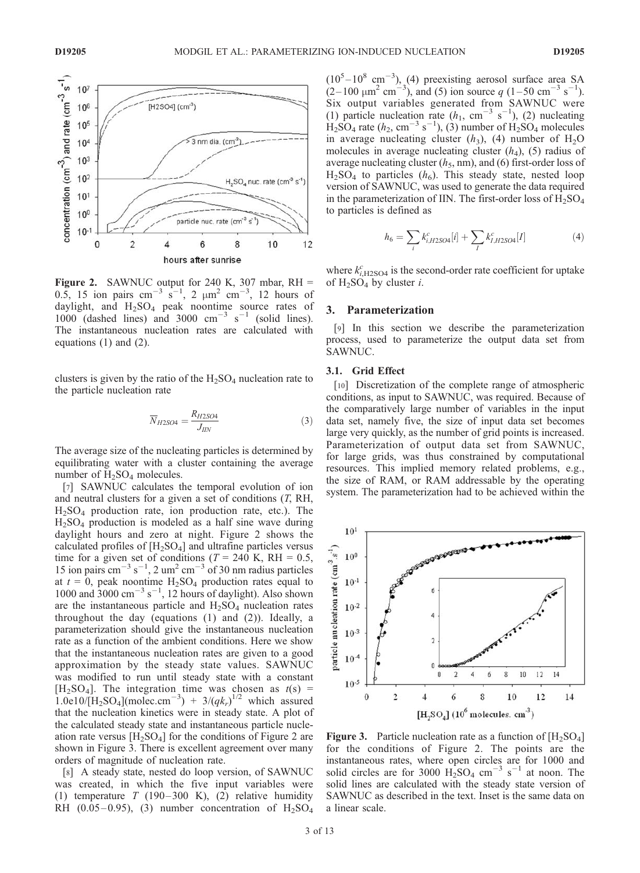

**Figure 2.** SAWNUC output for 240 K, 307 mbar,  $RH =$ 0.5, 15 ion pairs cm<sup>-3</sup> s<sup>-1</sup>, 2  $\mu$ m<sup>2</sup> cm<sup>-3</sup>, 12 hours of daylight, and  $H_2SO_4$  peak noontime source rates of  $1000$  (dashed lines) and 3000 cm<sup>-3</sup> s<sup>-1</sup> (solid lines). The instantaneous nucleation rates are calculated with equations (1) and (2).

clusters is given by the ratio of the  $H_2SO_4$  nucleation rate to the particle nucleation rate

$$
\overline{N}_{H2SO4} = \frac{R_{H2SO4}}{J_{\text{HN}}}
$$
\n(3)

The average size of the nucleating particles is determined by equilibrating water with a cluster containing the average number of  $H_2SO_4$  molecules.

[7] SAWNUC calculates the temporal evolution of ion and neutral clusters for a given a set of conditions  $(T, RH,$  $H<sub>2</sub>SO<sub>4</sub>$  production rate, ion production rate, etc.). The  $H<sub>2</sub>SO<sub>4</sub>$  production is modeled as a half sine wave during daylight hours and zero at night. Figure 2 shows the calculated profiles of  $[H_2SO_4]$  and ultrafine particles versus time for a given set of conditions ( $T = 240$  K, RH = 0.5, 15 ion pairs cm<sup>-3</sup> s<sup>-1</sup>, 2 um<sup>2</sup> cm<sup>-3</sup> of 30 nm radius particles at  $t = 0$ , peak noontime  $H_2SO_4$  production rates equal to 1000 and  $3000 \text{ cm}^{-3} \text{ s}^{-1}$ , 12 hours of daylight). Also shown are the instantaneous particle and  $H_2SO_4$  nucleation rates throughout the day (equations (1) and (2)). Ideally, a parameterization should give the instantaneous nucleation rate as a function of the ambient conditions. Here we show that the instantaneous nucleation rates are given to a good approximation by the steady state values. SAWNUC was modified to run until steady state with a constant  $[H_2SO_4]$ . The integration time was chosen as  $t(s)$  = 1.0e10/[H<sub>2</sub>SO<sub>4</sub>](molec.cm<sup>-3</sup>) + 3/(qk<sub>r</sub>)<sup>1/2</sup> which assured that the nucleation kinetics were in steady state. A plot of the calculated steady state and instantaneous particle nucleation rate versus  $[H_2SO_4]$  for the conditions of Figure 2 are shown in Figure 3. There is excellent agreement over many orders of magnitude of nucleation rate.

[8] A steady state, nested do loop version, of SAWNUC was created, in which the five input variables were (1) temperature  $T$  (190-300 K), (2) relative humidity RH (0.05–0.95), (3) number concentration of  $H_2SO_4$   $(10<sup>5</sup> - 10<sup>8</sup>$  cm<sup>-3</sup>), (4) preexisting aerosol surface area SA  $(2-100 \mu m^2 \text{ cm}^{-3})$ , and (5) ion source q (1–50 cm<sup>-3</sup> s<sup>-1</sup>). Six output variables generated from SAWNUC were (1) particle nucleation rate  $(h_1, \text{ cm}^{-3} \text{ s}^{-1}),$  (2) nucleating  $\text{H}_2$ SO<sub>4</sub> rate (h<sub>2</sub>, cm<sup>-3</sup> s<sup>-1</sup>), (3) number of  $\text{H}_2$ SO<sub>4</sub> molecules in average nucleating cluster  $(h_3)$ , (4) number of H<sub>2</sub>O molecules in average nucleating cluster  $(h_4)$ , (5) radius of average nucleating cluster  $(h_5, nm)$ , and  $(6)$  first-order loss of  $H<sub>2</sub>SO<sub>4</sub>$  to particles ( $h<sub>6</sub>$ ). This steady state, nested loop version of SAWNUC, was used to generate the data required in the parameterization of IIN. The first-order loss of  $\overline{H_2SO_4}$ to particles is defined as

$$
h_6 = \sum_{i} k_{i,H2SO4}^c[i] + \sum_{I} k_{I,H2SO4}^c[I] \tag{4}
$$

where  $k_{i,H2SO4}^c$  is the second-order rate coefficient for uptake of  $H_2SO_4$  by cluster *i*.

#### 3. Parameterization

[9] In this section we describe the parameterization process, used to parameterize the output data set from SAWNUC.

#### 3.1. Grid Effect

[10] Discretization of the complete range of atmospheric conditions, as input to SAWNUC, was required. Because of the comparatively large number of variables in the input data set, namely five, the size of input data set becomes large very quickly, as the number of grid points is increased. Parameterization of output data set from SAWNUC, for large grids, was thus constrained by computational resources. This implied memory related problems, e.g., the size of RAM, or RAM addressable by the operating system. The parameterization had to be achieved within the



**Figure 3.** Particle nucleation rate as a function of  $[H_2SO_4]$ for the conditions of Figure 2. The points are the instantaneous rates, where open circles are for 1000 and solid circles are for 3000  $H_2$ SO<sub>4</sub> cm<sup>-3</sup> s<sup>-1</sup> at noon. The solid lines are calculated with the steady state version of SAWNUC as described in the text. Inset is the same data on a linear scale.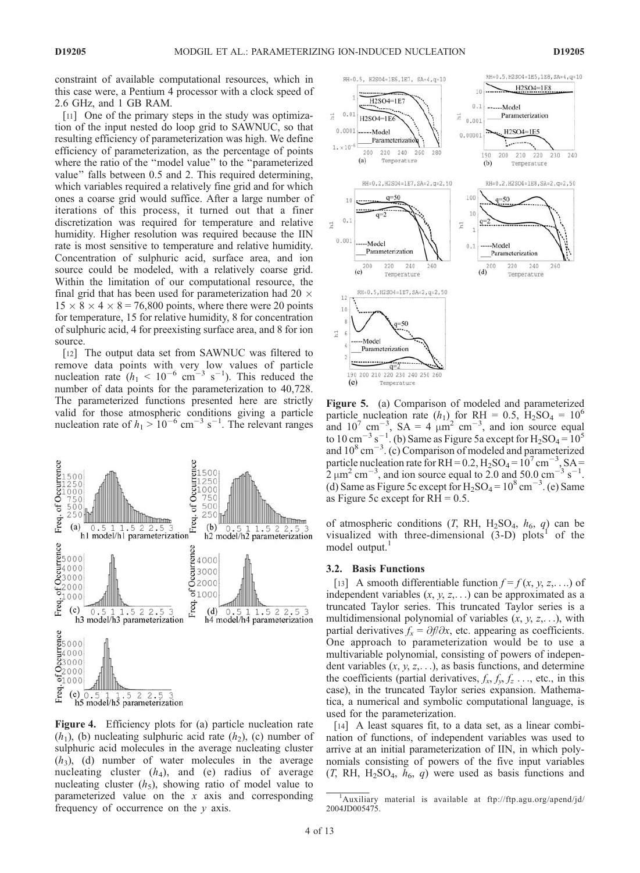constraint of available computational resources, which in this case were, a Pentium 4 processor with a clock speed of 2.6 GHz, and 1 GB RAM.

[11] One of the primary steps in the study was optimization of the input nested do loop grid to SAWNUC, so that resulting efficiency of parameterization was high. We define efficiency of parameterization, as the percentage of points where the ratio of the ''model value'' to the ''parameterized value'' falls between 0.5 and 2. This required determining, which variables required a relatively fine grid and for which ones a coarse grid would suffice. After a large number of iterations of this process, it turned out that a finer discretization was required for temperature and relative humidity. Higher resolution was required because the IIN rate is most sensitive to temperature and relative humidity. Concentration of sulphuric acid, surface area, and ion source could be modeled, with a relatively coarse grid. Within the limitation of our computational resource, the final grid that has been used for parameterization had 20  $\times$  $15 \times 8 \times 4 \times 8 = 76,800$  points, where there were 20 points for temperature, 15 for relative humidity, 8 for concentration of sulphuric acid, 4 for preexisting surface area, and 8 for ion source.

[12] The output data set from SAWNUC was filtered to remove data points with very low values of particle nucleation rate  $(h_1 < 10^{-6} \text{ cm}^{-3} \text{ s}^{-1})$ . This reduced the number of data points for the parameterization to 40,728. The parameterized functions presented here are strictly valid for those atmospheric conditions giving a particle nucleation rate of  $h_1 > 10^{-6}$  cm<sup>-3</sup> s<sup>-1</sup>. The relevant ranges



Figure 4. Efficiency plots for (a) particle nucleation rate  $(h_1)$ , (b) nucleating sulphuric acid rate  $(h_2)$ , (c) number of sulphuric acid molecules in the average nucleating cluster  $(h<sub>3</sub>)$ , (d) number of water molecules in the average nucleating cluster  $(h_4)$ , and (e) radius of average nucleating cluster  $(h_5)$ , showing ratio of model value to parameterized value on the  $x$  axis and corresponding frequency of occurrence on the y axis.



Figure 5. (a) Comparison of modeled and parameterized particle nucleation rate  $(h_1)$  for RH = 0.5, H<sub>2</sub>SO<sub>4</sub> = 10<sup>6</sup> and  $10^7$  cm<sup>-3</sup>, SA = 4  $\mu$ m<sup>2</sup> cm<sup>-3</sup>, and ion source equal to 10 cm<sup>-3</sup> s<sup>-1</sup>. (b) Same as Figure 5a except for  $H_2SO_4 = 10^5$ and  $10^8 \text{ cm}^{-3}$ . (c) Comparison of modeled and parameterized particle nucleation rate for RH =  $0.2$ , H<sub>2</sub>SO<sub>4</sub> =  $10^7$  cm<sup>-3</sup>, SA =  $2 \mu m^2$  cm<sup>-3</sup>, and ion source equal to 2.0 and 50.0 cm<sup>-3</sup> s<sup>-1</sup>. (d) Same as Figure 5c except for  $H_2SO_4 = 10^8$  cm<sup>-3</sup>. (e) Same as Figure 5c except for  $RH = 0.5$ .

of atmospheric conditions  $(T, RH, H_2SO_4, h_6, q)$  can be visualized with three-dimensional  $(3-D)$  plots<sup>1</sup> of the model output.<sup>1</sup>

#### 3.2. Basis Functions

[13] A smooth differentiable function  $f = f(x, y, z, \ldots)$  of independent variables  $(x, y, z,...)$  can be approximated as a truncated Taylor series. This truncated Taylor series is a multidimensional polynomial of variables  $(x, y, z, \ldots)$ , with partial derivatives  $f_x = \partial f / \partial x$ , etc. appearing as coefficients. One approach to parameterization would be to use a multivariable polynomial, consisting of powers of independent variables  $(x, y, z, \ldots)$ , as basis functions, and determine the coefficients (partial derivatives,  $f_x, f_y, f_z, \ldots$ , etc., in this case), in the truncated Taylor series expansion. Mathematica, a numerical and symbolic computational language, is used for the parameterization.

[14] A least squares fit, to a data set, as a linear combination of functions, of independent variables was used to arrive at an initial parameterization of IIN, in which polynomials consisting of powers of the five input variables  $(T, RH, H<sub>2</sub>SO<sub>4</sub>, h<sub>6</sub>, q)$  were used as basis functions and

<sup>&</sup>lt;sup>1</sup>Auxiliary material is available at ftp://ftp.agu.org/apend/jd/ 2004JD005475.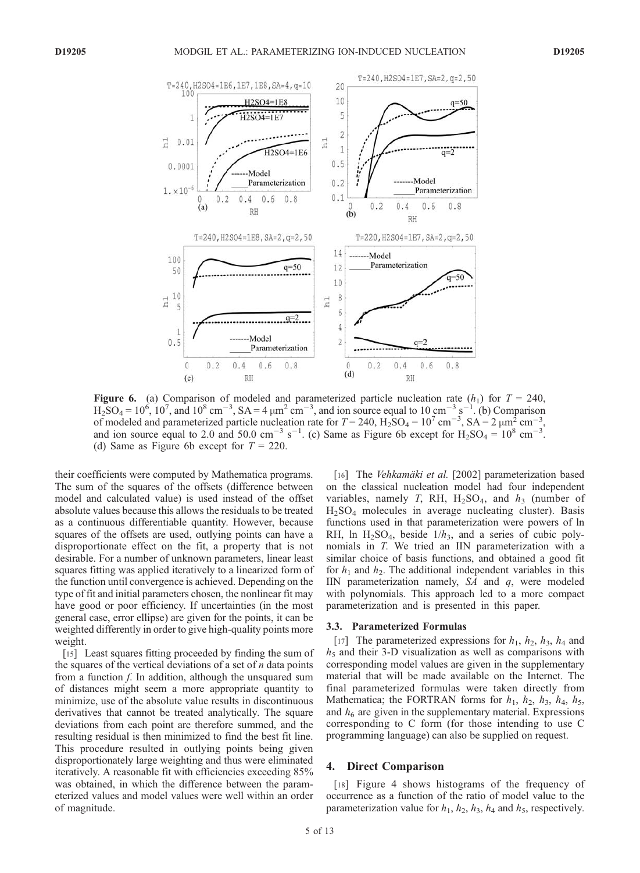

**Figure 6.** (a) Comparison of modeled and parameterized particle nucleation rate  $(h_1)$  for  $T = 240$ ,  $H_2SO_4 = 10^6$ ,  $10^7$ , and  $10^8$  cm<sup>-3</sup>, SA = 4  $\mu$ m<sup>2</sup> cm<sup>-3</sup>, and ion source equal to 10 cm<sup>-3</sup> s<sup>-1</sup>. (b) Comparison of modeled and parameterized particle nucleation rate for  $T = 240$ ,  $H_2SO_4 = 10^7$  cm<sup>-3</sup>,  $SA = 2 \mu m_S^2$  cm<sup>-3</sup>, and ion source equal to 2.0 and 50.0 cm<sup>-3</sup> s<sup>-1</sup>. (c) Same as Figure 6b except for  $H_2SO_4 = 10^8$  cm<sup>-3</sup>. (d) Same as Figure 6b except for  $T = 220$ .

their coefficients were computed by Mathematica programs. The sum of the squares of the offsets (difference between model and calculated value) is used instead of the offset absolute values because this allows the residuals to be treated as a continuous differentiable quantity. However, because squares of the offsets are used, outlying points can have a disproportionate effect on the fit, a property that is not desirable. For a number of unknown parameters, linear least squares fitting was applied iteratively to a linearized form of the function until convergence is achieved. Depending on the type of fit and initial parameters chosen, the nonlinear fit may have good or poor efficiency. If uncertainties (in the most general case, error ellipse) are given for the points, it can be weighted differently in order to give high-quality points more weight.

[15] Least squares fitting proceeded by finding the sum of the squares of the vertical deviations of a set of  $n$  data points from a function  $f$ . In addition, although the unsquared sum of distances might seem a more appropriate quantity to minimize, use of the absolute value results in discontinuous derivatives that cannot be treated analytically. The square deviations from each point are therefore summed, and the resulting residual is then minimized to find the best fit line. This procedure resulted in outlying points being given disproportionately large weighting and thus were eliminated iteratively. A reasonable fit with efficiencies exceeding 85% was obtained, in which the difference between the parameterized values and model values were well within an order of magnitude.

[16] The *Vehkamäki et al.* [2002] parameterization based on the classical nucleation model had four independent variables, namely T, RH,  $H_2SO_4$ , and  $h_3$  (number of  $H<sub>2</sub>SO<sub>4</sub>$  molecules in average nucleating cluster). Basis functions used in that parameterization were powers of ln RH, ln  $H_2SO_4$ , beside  $1/h_3$ , and a series of cubic polynomials in T. We tried an IIN parameterization with a similar choice of basis functions, and obtained a good fit for  $h_1$  and  $h_2$ . The additional independent variables in this IIN parameterization namely,  $SA$  and  $q$ , were modeled with polynomials. This approach led to a more compact parameterization and is presented in this paper.

#### 3.3. Parameterized Formulas

[17] The parameterized expressions for  $h_1$ ,  $h_2$ ,  $h_3$ ,  $h_4$  and  $h<sub>5</sub>$  and their 3-D visualization as well as comparisons with corresponding model values are given in the supplementary material that will be made available on the Internet. The final parameterized formulas were taken directly from Mathematica; the FORTRAN forms for  $h_1$ ,  $h_2$ ,  $h_3$ ,  $h_4$ ,  $h_5$ , and  $h<sub>6</sub>$  are given in the supplementary material. Expressions corresponding to C form (for those intending to use C programming language) can also be supplied on request.

### 4. Direct Comparison

[18] Figure 4 shows histograms of the frequency of occurrence as a function of the ratio of model value to the parameterization value for  $h_1$ ,  $h_2$ ,  $h_3$ ,  $h_4$  and  $h_5$ , respectively.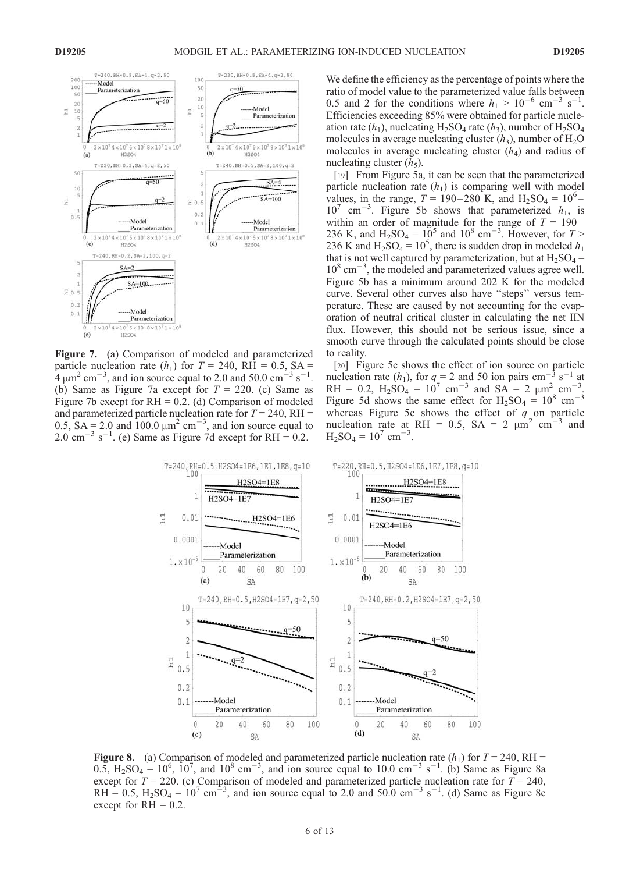

Figure 7. (a) Comparison of modeled and parameterized particle nucleation rate  $(h_1)$  for  $T = 240$ , RH = 0.5, SA =  $h_1$  um<sup>2</sup> cm<sup>-3</sup> and ion source equal to 2.0 and 50.0 cm<sup>-3</sup> s<sup>-1</sup>  $4 \mu m^2$  cm<sup>-3</sup>, and ion source equal to 2.0 and 50.0 cm<sup>-3</sup> s . (b) Same as Figure 7a except for  $T = 220$ . (c) Same as Figure 7b except for  $RH = 0.2$ . (d) Comparison of modeled and parameterized particle nucleation rate for  $T = 240$ , RH = 0.5,  $SA = 2.0$  and  $100.0 \mu m^2 cm^{-3}$ , and ion source equal to  $2.0 \text{ cm}^{-3} \text{ s}^{-1}$ . (e) Same as Figure 7d except for RH = 0.2.

We define the efficiency as the percentage of points where the ratio of model value to the parameterized value falls between 0.5 and 2 for the conditions where  $h_1 > 10^{-6}$  cm<sup>-3</sup> s<sup>-1</sup>. Efficiencies exceeding 85% were obtained for particle nucleation rate  $(h_1)$ , nucleating H<sub>2</sub>SO<sub>4</sub> rate  $(h_3)$ , number of H<sub>2</sub>SO<sub>4</sub> molecules in average nucleating cluster  $(h_3)$ , number of  $H_2O$ molecules in average nucleating cluster  $(h_4)$  and radius of nucleating cluster  $(h_5)$ .

[19] From Figure 5a, it can be seen that the parameterized particle nucleation rate  $(h_1)$  is comparing well with model values, in the range,  $T = 190-280$  K, and  $H_2SO_4 = 10^6$ - $10^7$  cm<sup>-3</sup>. Figure 5b shows that parameterized  $h_1$ , is within an order of magnitude for the range of  $T = 190-$ 236 K, and  $H_2SO_4 = 10^5$  and  $10^8$  cm<sup>-3</sup>. However, for  $T >$ 236 K and  $H_2SO_4 = 10^5$ , there is sudden drop in modeled  $h_1$ that is not well captured by parameterization, but at  $H_2SO_4$  =  $10^8$  cm<sup>-3</sup>, the modeled and parameterized values agree well. Figure 5b has a minimum around 202 K for the modeled curve. Several other curves also have ''steps'' versus temperature. These are caused by not accounting for the evaporation of neutral critical cluster in calculating the net IIN flux. However, this should not be serious issue, since a smooth curve through the calculated points should be close to reality.

[20] Figure 5c shows the effect of ion source on particle nucleation rate  $(h_1)$ , for  $q = 2$  and 50 ion pairs cm<sup>-3</sup> s<sup>-1</sup> at RH = 0.2,  $H_2SO_4 = 10^7$  cm<sup>-3</sup> and  $SA = 2 \mu m^2 cm^{-3}$ . Figure 5d shows the same effect for  $H_2SO_4 = 10^8$  cm<sup>-3</sup> whereas Figure 5e shows the effect of  $q$  on particle nucleation rate at RH = 0.5, SA = 2  $\mu$ m<sup>2</sup> cm<sup>-3</sup> and  $H_2SO_4 = 10^7$  cm<sup>-1</sup> .



**Figure 8.** (a) Comparison of modeled and parameterized particle nucleation rate  $(h_1)$  for  $T = 240$ , RH =  $0.5, H<sub>2</sub>SO<sub>4</sub> = 10<sup>6</sup>, 10<sup>7</sup>,$  and  $10<sup>8</sup>$  cm<sup>-3</sup>, and ion source equal to 10.0 cm<sup>-3</sup> s<sup>-1</sup>. (b) Same as Figure 8a except for  $T = 220$ . (c) Comparison of modeled and parameterized particle nucleation rate for  $T = 240$ , RH = 0.5,  $H_2SO_4 = 10^7$  cm<sup>-3</sup>, and ion source equal to 2.0 and 50.0 cm<sup>-3</sup> s<sup>-1</sup>. (d) Same as Figure 8c except for  $RH = 0.2$ .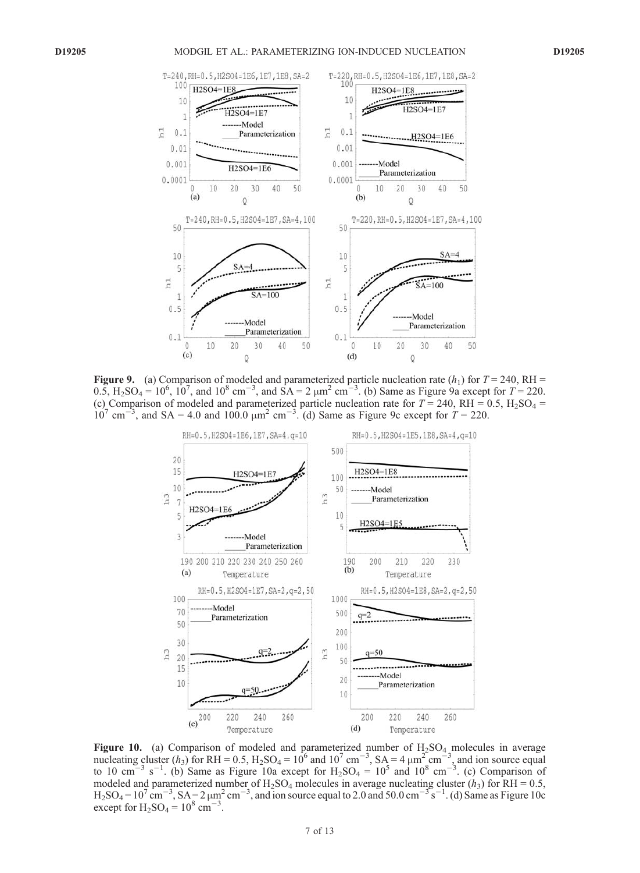

**Figure 9.** (a) Comparison of modeled and parameterized particle nucleation rate  $(h_1)$  for  $T = 240$ , RH = 0.5,  $H_2SO_4 = 10^6$ ,  $10^7$ , and  $10^8$  cm<sup>-3</sup>, and  $SA = 2 \mu m^2$  cm<sup>-3</sup>. (b) Same as Figure 9a except for  $T = 220$ . (c) Comparison of modeled and parameterized particle nucleation rate for  $T = 240$ , RH = 0.5, H<sub>2</sub>SO<sub>4</sub> =  $10^7$  cm<sup>-3</sup>, and SA = 4.0 and 100.0  $\mu$ m<sup>2</sup> cm<sup>-3</sup>. (d) Same as Figure 9c except for  $T = 220$ .



Figure 10. (a) Comparison of modeled and parameterized number of  $H_2SO_4$  molecules in average nucleating cluster  $(h_3)$  for RH = 0.5, H<sub>2</sub>SO<sub>4</sub> = 10<sup>6</sup> and 10<sup>7</sup> cm<sup>-3</sup>, SA = 4  $\mu$ m<sup>2</sup> cm<sup>-3</sup>, and ion source equal to 10 cm<sup>-3</sup> s<sup>-1</sup>. (b) Same as Figure 10a except for  $H_2SO_4 = 10^5$  and  $10^8$  cm<sup>-3</sup>. (c) Comparison of modeled and parameterized number of H<sub>2</sub>SO<sub>4</sub> molecules in average nucleating cluster ( $h_3$ ) for RH = 0.5,  $H_2SO_4 = 10^7$  cm<sup>-3</sup>,  $SA = 2 \mu m^2$  cm<sup>-3</sup>, and ion source equal to 2.0 and 50.0 cm<sup>-3</sup> s<sup>-1</sup>. (d) Same as Figure 10c except for  $H_2SO_4 = 10^8$  cm<sup>-3</sup>.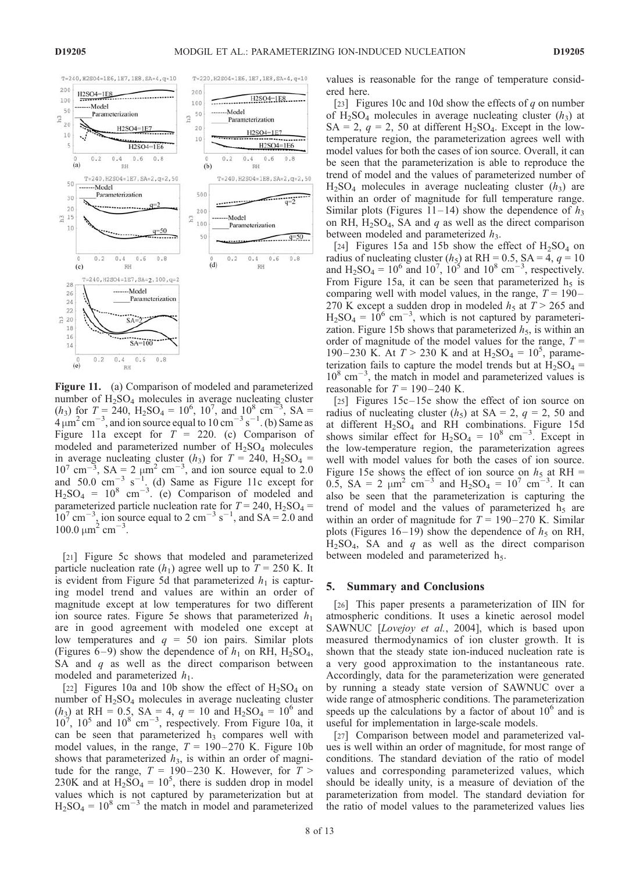

Figure 11. (a) Comparison of modeled and parameterized number of  $H_2SO_4$  molecules in average nucleating cluster  $(h_3)$  for  $T = 240$ ,  $H_2SO_4 = 10^6$ ,  $10^7$ , and  $10^8$  cm<sup>-3</sup>, SA =  $4 \mu m^2$  cm<sup>-3</sup>, and ion source equal to 10 cm<sup>-3</sup> s<sup>-1</sup>. (b) Same as Figure 11a except for  $T = 220$ . (c) Comparison of modeled and parameterized number of  $H_2SO_4$  molecules in average nucleating cluster  $(h_3)$  for  $T = 240$ ,  $H_2SO_4 =$  $10^7$  cm<sup>-3</sup>, SA = 2  $\mu$ m<sup>2</sup> cm<sup>-3</sup>, and ion source equal to 2.0 and  $50.0 \text{ cm}^{-3} \text{ s}^{-1}$ . (d) Same as Figure 11c except for  $H_2SO_4 = 10^8$  cm<sup>-3</sup>. (e) Comparison of modeled and parameterized particle nucleation rate for  $T = 240$ ,  $H_2SO_4 =$  $10^7$  cm<sup>-3</sup>, ion source equal to 2 cm<sup>-3</sup> s<sup>-1</sup>, and SA = 2.0 and  $100.0 \mu m^2$  cm<sup>-3</sup>.

[21] Figure 5c shows that modeled and parameterized particle nucleation rate  $(h_1)$  agree well up to  $T = 250$  K. It is evident from Figure 5d that parameterized  $h_1$  is capturing model trend and values are within an order of magnitude except at low temperatures for two different ion source rates. Figure 5e shows that parameterized  $h_1$ are in good agreement with modeled one except at low temperatures and  $q = 50$  ion pairs. Similar plots (Figures 6–9) show the dependence of  $h_1$  on RH, H<sub>2</sub>SO<sub>4</sub>, SA and  $q$  as well as the direct comparison between modeled and parameterized  $h_1$ .

[22] Figures 10a and 10b show the effect of  $H_2SO_4$  on number of  $H_2SO_4$  molecules in average nucleating cluster  $(h_3)$  at RH = 0.5, SA = 4,  $q = 10$  and H<sub>2</sub>SO<sub>4</sub> = 10<sup>6</sup> and  $10^7$ ,  $10^5$  and  $10^8$  cm<sup>-3</sup>, respectively. From Figure 10a, it can be seen that parameterized  $h_3$  compares well with model values, in the range,  $T = 190-270$  K. Figure 10b shows that parameterized  $h_3$ , is within an order of magnitude for the range,  $T = 190-230$  K. However, for  $T >$ 230K and at  $H_2SO_4 = 10^5$ , there is sudden drop in model values which is not captured by parameterization but at  $H_2SO_4 = 10^8$  cm<sup>-3</sup> the match in model and parameterized values is reasonable for the range of temperature considered here.

[23] Figures 10c and 10d show the effects of  $q$  on number of  $H_2SO_4$  molecules in average nucleating cluster  $(h_3)$  at  $SA = 2$ ,  $q = 2$ , 50 at different H<sub>2</sub>SO<sub>4</sub>. Except in the lowtemperature region, the parameterization agrees well with model values for both the cases of ion source. Overall, it can be seen that the parameterization is able to reproduce the trend of model and the values of parameterized number of  $H<sub>2</sub>SO<sub>4</sub>$  molecules in average nucleating cluster  $(h<sub>3</sub>)$  are within an order of magnitude for full temperature range. Similar plots (Figures 11–14) show the dependence of  $h_3$ on RH,  $H_2SO_4$ , SA and q as well as the direct comparison between modeled and parameterized  $h_3$ .

[24] Figures 15a and 15b show the effect of  $H_2SO_4$  on radius of nucleating cluster  $(h_5)$  at RH = 0.5, SA = 4,  $q = 10$ and  $H_2SO_4 = 10^6$  and  $10^7$ ,  $10^5$  and  $10^8$  cm<sup>-3</sup>, respectively. From Figure 15a, it can be seen that parameterized  $h<sub>5</sub>$  is comparing well with model values, in the range,  $T = 190-$ 270 K except a sudden drop in modeled  $h_5$  at  $T > 265$  and  $H_2SO_4 = 10^6$  cm<sup>-3</sup>, which is not captured by parameterization. Figure 15b shows that parameterized  $h<sub>5</sub>$ , is within an order of magnitude of the model values for the range,  $T =$ 190–230 K. At  $T > 230$  K and at  $H_2SO_4 = 10^5$ , parameterization fails to capture the model trends but at  $H_2SO_4$  =  $10^8$  cm<sup>-3</sup>, the match in model and parameterized values is reasonable for  $T = 190-240$  K.

[25] Figures 15c–15e show the effect of ion source on radius of nucleating cluster  $(h_5)$  at SA = 2,  $q = 2$ , 50 and at different  $H_2SO_4$  and RH combinations. Figure 15d shows similar effect for  $H_2SO_4 = 10^8$  cm<sup>-3</sup>. Except in the low-temperature region, the parameterization agrees well with model values for both the cases of ion source. Figure 15e shows the effect of ion source on  $h_5$  at RH = 0.5, SA = 2  $\mu$ m<sup>2</sup> cm<sup>-3</sup> and H<sub>2</sub>SO<sub>4</sub> = 10<sup>7</sup> cm<sup>-3</sup>. It can also be seen that the parameterization is capturing the trend of model and the values of parameterized  $h<sub>5</sub>$  are within an order of magnitude for  $T = 190-270$  K. Similar plots (Figures 16–19) show the dependence of  $h_5$  on RH,  $H<sub>2</sub>SO<sub>4</sub>$ , SA and q as well as the direct comparison between modeled and parameterized h<sub>5</sub>.

#### 5. Summary and Conclusions

[26] This paper presents a parameterization of IIN for atmospheric conditions. It uses a kinetic aerosol model SAWNUC [Lovejoy et al., 2004], which is based upon measured thermodynamics of ion cluster growth. It is shown that the steady state ion-induced nucleation rate is a very good approximation to the instantaneous rate. Accordingly, data for the parameterization were generated by running a steady state version of SAWNUC over a wide range of atmospheric conditions. The parameterization speeds up the calculations by a factor of about  $10<sup>6</sup>$  and is useful for implementation in large-scale models.

[27] Comparison between model and parameterized values is well within an order of magnitude, for most range of conditions. The standard deviation of the ratio of model values and corresponding parameterized values, which should be ideally unity, is a measure of deviation of the parameterization from model. The standard deviation for the ratio of model values to the parameterized values lies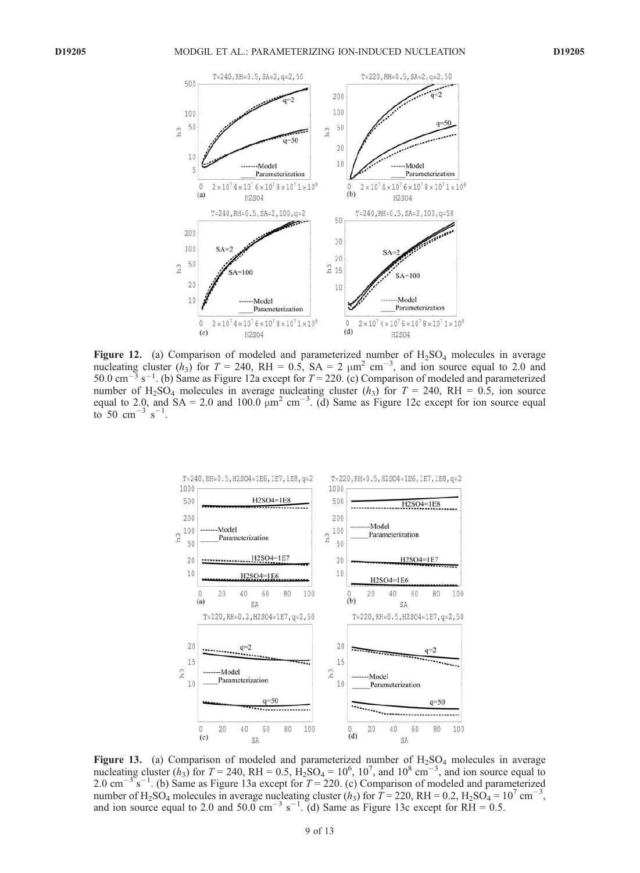

Figure 12. (a) Comparison of modeled and parameterized number of  $H_2SO_4$  molecules in average nucleating cluster  $(h_3)$  for  $T = 240$ , RH = 0.5, SA = 2  $\mu$ m<sup>2</sup> cm<sup>-3</sup>, and ion source equal to 2.0 and 50.0 cm<sup>-3</sup> s<sup>-1</sup>. (b) Same as Figure 12a except for  $T = 220$ . (c) Comparison of modeled and parameterized number of H<sub>2</sub>SO<sub>4</sub> molecules in average nucleating cluster ( $h_3$ ) for T = 240, RH = 0.5, ion source equal to 2.0, and  $SA = 2.0$  and  $100.0 \mu m^2 cm^{-3}$ . (d) Same as Figure 12c except for ion source equal to 50 cm<sup>-3 s<sup>-1</sup>.</sup>



Figure 13. (a) Comparison of modeled and parameterized number of  $H_2SO_4$  molecules in average nucleating cluster  $(h_3)$  for  $T = 240$ , RH = 0.5,  $\dot{H_2}SO_4 = 10^6$ , 10<sup>7</sup>, and 10<sup>8</sup> cm<sup>-3</sup>, and ion source equal to 2.0 cm<sup>-3</sup> s<sup>-1</sup>. (b) Same as Figure 13a except for  $T = 220$ . (c) Comparison of modeled and parameterized number of H<sub>2</sub>SO<sub>4</sub> molecules in average nucleating cluster  $(h_3)$  for  $T = 220$ , RH = 0.2, H<sub>2</sub>SO<sub>4</sub> = 10<sup>7</sup> cm<sup>-3</sup>, and ion source equal to 2.0 and 50.0 cm<sup>-3</sup> s<sup>-1</sup>. (d) Same as Figure 13c except for  $R\bar{H} = 0.5$ .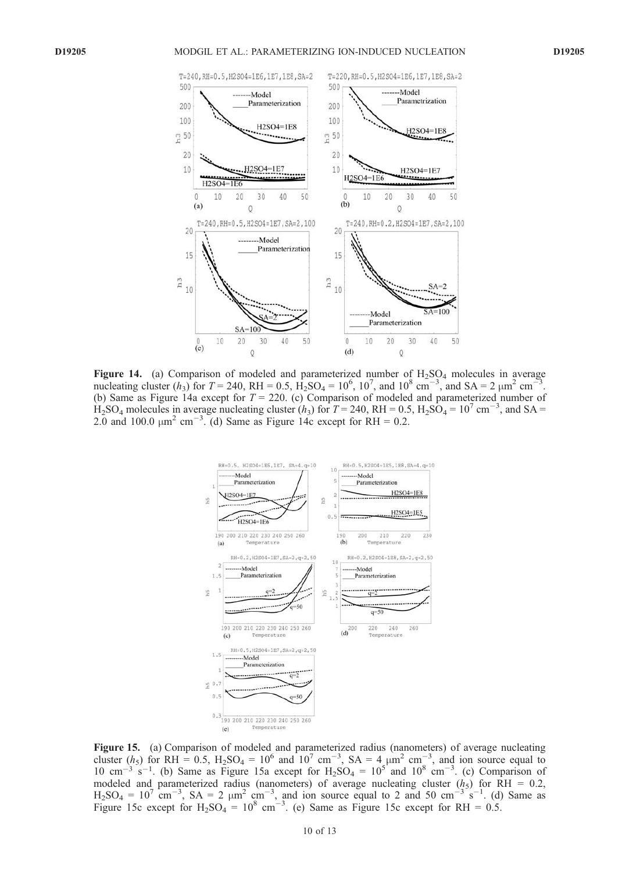

Figure 14. (a) Comparison of modeled and parameterized number of  $H_2SO_4$  molecules in average nucleating cluster  $(h_3)$  for  $T = 240$ , RH = 0.5,  $\text{H}_2\text{SO}_4 = 10^6$ ,  $10^7$ , and  $10^8 \text{ cm}^{-3}$ , and SA = 2  $\mu$ m<sup>2</sup> cm<sup>-3</sup>. (b) Same as Figure 14a except for  $T = 220$ . (c) Comparison of modeled and parameterized number of  $H_2SO_4$  molecules in average nucleating cluster  $(h_3)$  for  $T = 240$ , RH = 0.5,  $H_2SO_4 = 10^7$  cm<sup>-3</sup>, and SA = 2.0 and 100.0  $\mu$ m<sup>2</sup> cm<sup>-3</sup>. (d) Same as Figure 14c except for RH = 0.2.



Figure 15. (a) Comparison of modeled and parameterized radius (nanometers) of average nucleating cluster  $(h_5)$  for RH = 0.5, H<sub>2</sub>SO<sub>4</sub> = 10<sup>6</sup> and 10<sup>7</sup> cm<sup>-3</sup>, SA = 4  $\mu$ m<sup>2</sup> cm<sup>-3</sup>, and ion source equal to 10 cm<sup>-3</sup> s<sup>-1</sup>. (b) Same as Figure 15a except for  $H_2SO_4 = 10^5$  and  $10^8$  cm<sup>-3</sup>. (c) Comparison of modeled and parameterized radius (nanometers) of average nucleating cluster  $(h<sub>5</sub>)$  for RH = 0.2,  $H_2SO_4 = 10^7$  cm<sup>-3</sup>,  $SA = 2 \mu m^2$  cm<sup>-3</sup>, and ion source equal to 2 and 50 cm<sup>-3</sup> s<sup>-1</sup>. (d) Same as Figure 15c except for  $H_2SO_4 = 10^8$  cm<sup>-3</sup>. (e) Same as Figure 15c except for RH = 0.5.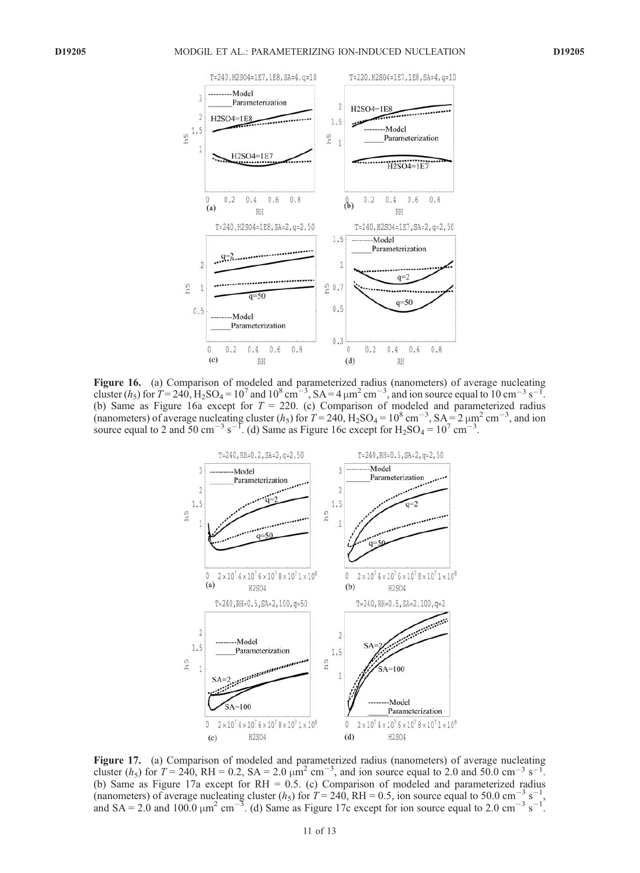

Figure 16. (a) Comparison of modeled and parameterized radius (nanometers) of average nucleating cluster (h<sub>5</sub>) for  $T = 240$ ,  $H_2SO_4 = 10^7$  and  $10^8$  cm<sup>-3</sup>, SA = 4  $\mu$ m<sup>2</sup> cm<sup>-3</sup>, and ion source equal to 10 cm<sup>-3</sup> s<sup>-1</sup>. (b) Same as Figure 16a except for  $T = 220$ . (c) Comparison of modeled and parameterized radius (nanometers) of average nucleating cluster  $(h_5)$  for  $T = 240$ ,  $H_2SO_4 = 10^8$  cm<sup>-3</sup>,  $SA = 2 \mu m^2$  cm<sup>-3</sup>, and ion source equal to 2 and 50 cm<sup>-3</sup> s<sup>-1</sup>. (d) Same as Figure 16c except for  $H_2SO_4 = 10^7$  cm<sup>-3</sup>.



Figure 17. (a) Comparison of modeled and parameterized radius (nanometers) of average nucleating cluster (*h*<sub>5</sub>) for  $T = 240$ , RH = 0.2, SA = 2.0  $\mu$ m<sup>2</sup> cm<sup>-3</sup>, and ion source equal to 2.0 and 50.0 cm<sup>-3</sup> s<sup>-1</sup>. (b) Same as Figure 17a except for RH = 0.5. (c) Comparison of modeled and parameterized radius (nanometers) of average nucleating cluster (h<sub>5</sub>) for  $T = 240$ , RH = 0.5, ion source equal to 50.0 cm<sup>-3</sup> s<sup>-1</sup>, and SA = 2.0 and 100.0  $\mu$ m<sup>2</sup> cm<sup>-3</sup>. (d) Same as Figure 17c except for ion source equal to 2.0 cm<sup>-3</sup> s<sup>-1</sup>.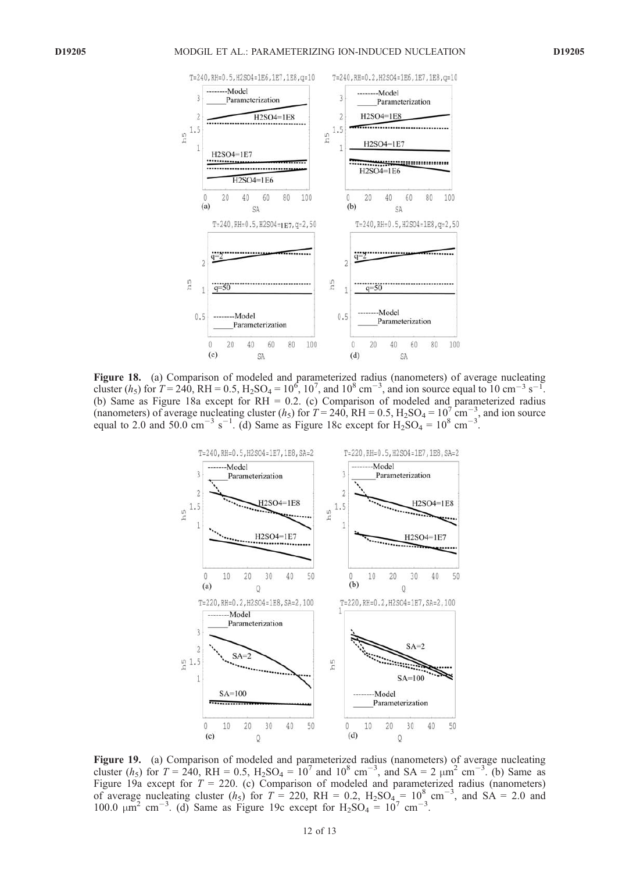

Figure 18. (a) Comparison of modeled and parameterized radius (nanometers) of average nucleating cluster (*h<sub>5</sub>*) for  $T = 240$ , RH = 0.5, H<sub>2</sub>SO<sub>4</sub> = 10<sup>6</sup>, 10<sup>7</sup>, and 10<sup>8</sup> cm<sup>-3</sup>, and ion source equal to 10 cm<sup>-3</sup> s<sup>-1</sup>. (b) Same as Figure 18a except for RH = 0.2. (c) Comparison of modeled and parameterized radius (nanometers) of average nucleating cluster (h<sub>5</sub>) for  $T = 240$ , RH = 0.5, H<sub>2</sub>SO<sub>4</sub> = 10<sup>7</sup> cm<sup>-3</sup>, and ion source equal to 2.0 and 50.0 cm<sup>-3</sup> s<sup>-1</sup>. (d) Same as Figure 18c except for  $H_2SO_4 = 10^8$  cm<sup>-3</sup>.



Figure 19. (a) Comparison of modeled and parameterized radius (nanometers) of average nucleating cluster  $(h_5)$  for  $T = 240$ , RH = 0.5, H<sub>2</sub>SO<sub>4</sub> = 10<sup>7</sup> and 10<sup>8</sup> cm<sup>-3</sup>, and SA = 2 µm<sup>2</sup> cm<sup>-3</sup>. (b) Same as Figure 19a except for  $T = 220$ . (c) Comparison of modeled and parameterized radius (nanometers) of average nucleating cluster  $(h_5)$  for  $T = 220$ , RH = 0.2,  $H_2SO_4 = 10^8$  cm<sup>-3</sup>, and  $SA = 2.0$  and 100.0  $\mu$ m<sup>2</sup> cm<sup>-3</sup>. (d) Same as Figure 19c except for H<sub>2</sub>SO<sub>4</sub> = 10<sup>7</sup> cm<sup>-3</sup>.